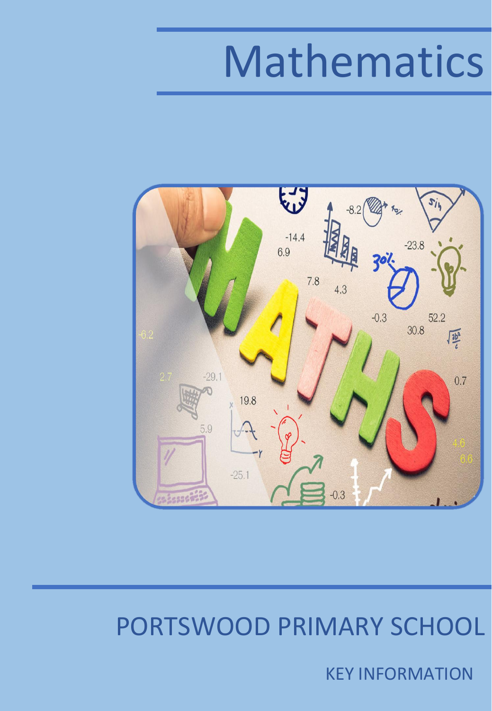# Mathematics



### PORTSWOOD PRIMARY SCHOOL

KEY INFORMATION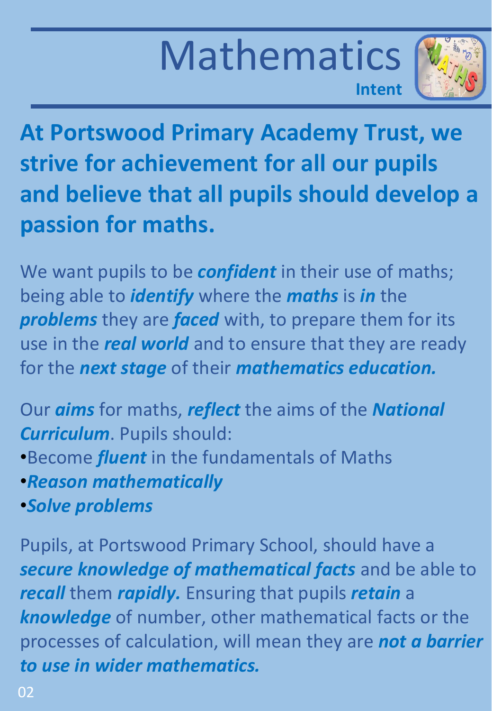### Mathematics **Intent**



**At Portswood Primary Academy Trust, we strive for achievement for all our pupils and believe that all pupils should develop a passion for maths.**

We want pupils to be *confident* in their use of maths; being able to *identify* where the *maths* is *in* the *problems* they are *faced* with, to prepare them for its use in the *real world* and to ensure that they are ready for the *next stage* of their *mathematics education.*

Our *aims* for maths, *reflect* the aims of the *National Curriculum*. Pupils should:

- •Become *fluent* in the fundamentals of Maths
- •*Reason mathematically*
- •*Solve problems*

Pupils, at Portswood Primary School, should have a *secure knowledge of mathematical facts* and be able to *recall* them *rapidly.* Ensuring that pupils *retain* a *knowledge* of number, other mathematical facts or the processes of calculation, will mean they are *not a barrier to use in wider mathematics.*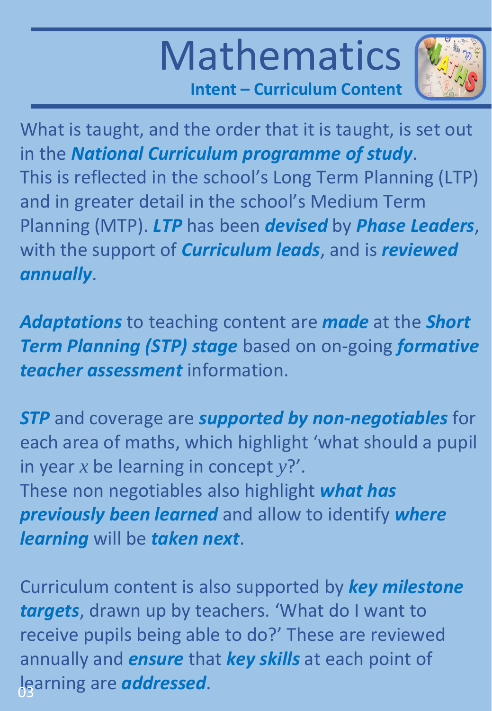# Mathematics



**Intent – Curriculum Content**

What is taught, and the order that it is taught, is set out in the *National Curriculum programme of study*. This is reflected in the school's Long Term Planning (LTP) and in greater detail in the school's Medium Term Planning (MTP). *LTP* has been *devised* by *Phase Leaders*, with the support of *Curriculum leads*, and is *reviewed annually*.

*Adaptations* to teaching content are *made* at the *Short Term Planning (STP) stage* based on on-going *formative teacher assessment* information.

*STP* and coverage are *supported by non-negotiables* for each area of maths, which highlight 'what should a pupil in year *x* be learning in concept *y*?'. These non negotiables also highlight *what has previously been learned* and allow to identify *where learning* will be *taken next*.

Curriculum content is also supported by *key milestone targets*, drawn up by teachers. 'What do I want to receive pupils being able to do?' These are reviewed annually and *ensure* that *key skills* at each point of learning are *addressed*. 03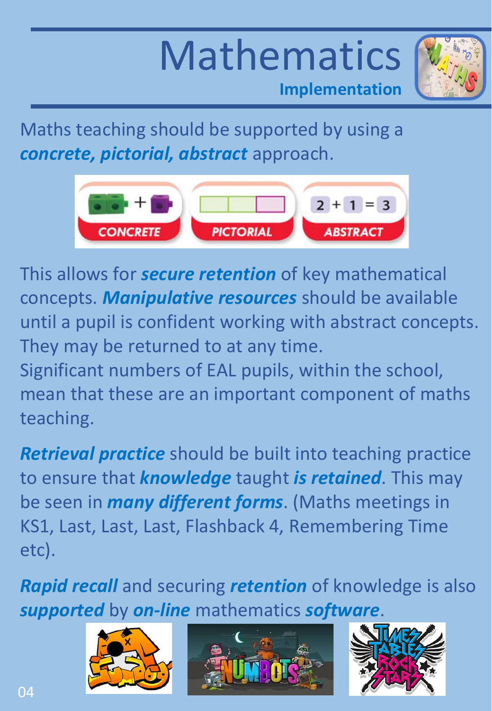### Mathematics **Implementation**



Maths teaching should be supported by using a *concrete, pictorial, abstract* approach.



This allows for *secure retention* of key mathematical concepts. *Manipulative resources* should be available until a pupil is confident working with abstract concepts. They may be returned to at any time.

Significant numbers of EAL pupils, within the school, mean that these are an important component of maths teaching.

*Retrieval practice* should be built into teaching practice to ensure that *knowledge* taught *is retained*. This may be seen in *many different forms*. (Maths meetings in KS1, Last, Last, Last, Flashback 4, Remembering Time etc).

*Rapid recall* and securing *retention* of knowledge is also *supported* by *on-line* mathematics *software*.





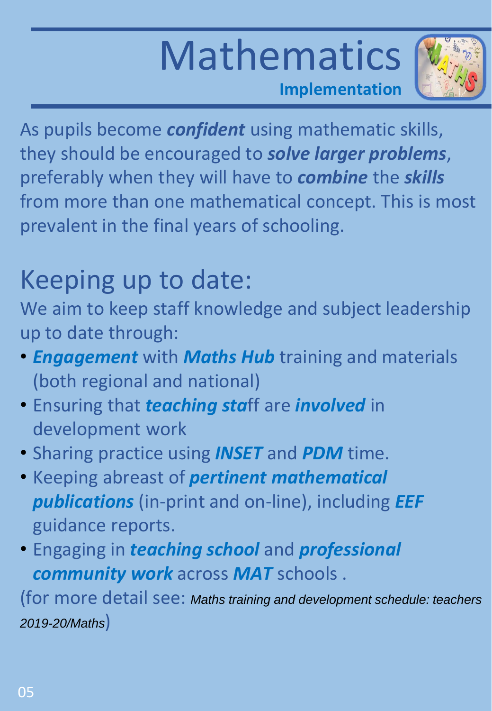### Mathematics **Implementation**



As pupils become *confident* using mathematic skills, they should be encouraged to *solve larger problems*, preferably when they will have to *combine* the *skills* from more than one mathematical concept. This is most prevalent in the final years of schooling.

### Keeping up to date:

We aim to keep staff knowledge and subject leadership up to date through:

- *Engagement* with *Maths Hub* training and materials (both regional and national)
- Ensuring that *teaching sta*ff are *involved* in development work
- Sharing practice using *INSET* and *PDM* time.
- Keeping abreast of *pertinent mathematical publications* (in-print and on-line), including *EEF* guidance reports.
- Engaging in *teaching school* and *professional community work* across *MAT* schools .

(for more detail see: *Maths training and development schedule: teachers 2019-20/Maths*)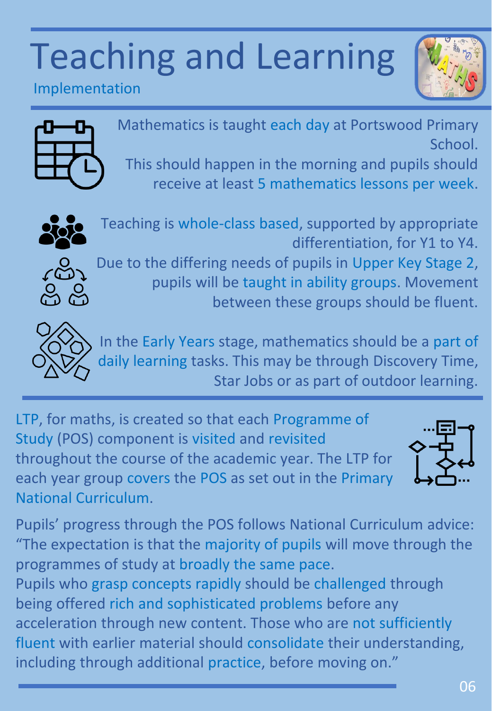

Implementation



Mathematics is taught each day at Portswood Primary School.

This should happen in the morning and pupils should receive at least 5 mathematics lessons per week.



Teaching is whole-class based, supported by appropriate differentiation, for Y1 to Y4.



Due to the differing needs of pupils in Upper Key Stage 2, pupils will be taught in ability groups. Movement between these groups should be fluent.



In the Early Years stage, mathematics should be a part of daily learning tasks. This may be through Discovery Time, Star Jobs or as part of outdoor learning.

LTP, for maths, is created so that each Programme of Study (POS) component is visited and revisited throughout the course of the academic year. The LTP for each year group covers the POS as set out in the Primary National Curriculum.



Pupils' progress through the POS follows National Curriculum advice: "The expectation is that the majority of pupils will move through the programmes of study at broadly the same pace.

Pupils who grasp concepts rapidly should be challenged through being offered rich and sophisticated problems before any acceleration through new content. Those who are not sufficiently fluent with earlier material should consolidate their understanding, including through additional practice, before moving on."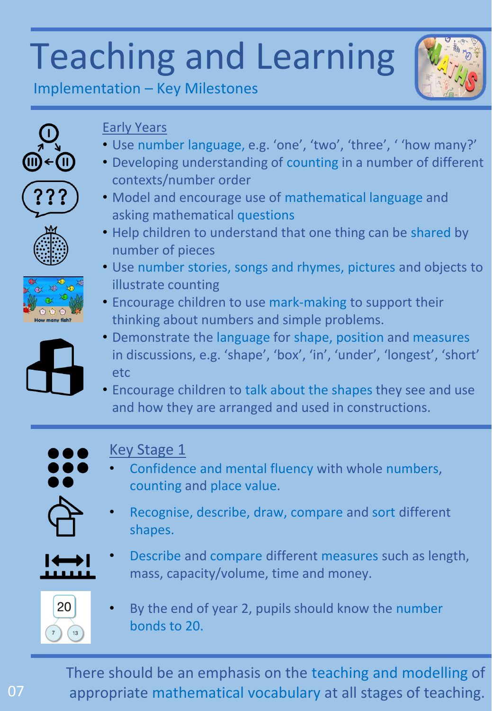

Implementation – Key Milestones



### Early Years

- Use number language, e.g. 'one', 'two', 'three', ' 'how many?'
- Developing understanding of counting in a number of different contexts/number order
- Model and encourage use of mathematical language and asking mathematical questions



- Use number stories, songs and rhymes, pictures and objects to illustrate counting
- Encourage children to use mark-making to support their thinking about numbers and simple problems.
- Demonstrate the language for shape, position and measures in discussions, e.g. 'shape', 'box', 'in', 'under', 'longest', 'short' etc
- Encourage children to talk about the shapes they see and use and how they are arranged and used in constructions.



### Key Stage 1

- Confidence and mental fluency with whole numbers, counting and place value.
- Recognise, describe, draw, compare and sort different shapes.
- Describe and compare different measures such as length, mass, capacity/volume, time and money.



By the end of year 2, pupils should know the number bonds to 20.

There should be an emphasis on the teaching and modelling of appropriate mathematical vocabulary at all stages of teaching.



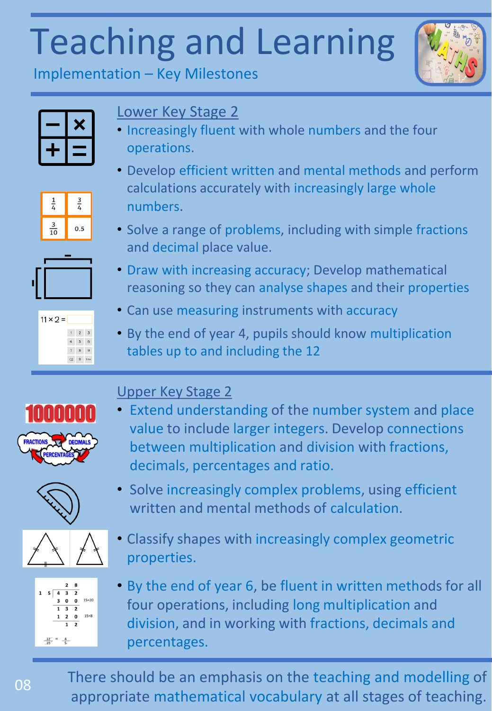

Implementation – Key Milestones

#### Lower Key Stage 2

- Increasingly fluent with whole numbers and the four operations.
- $\frac{1}{4}$  $\frac{3}{4}$  $\frac{3}{10}$  $0.5$





 $1 \qquad 2 \qquad 3$  $4\qquad 5\qquad 6$  $7 - 8 - 9$  $(8)$  0 Erter

 $11 \times 2 =$ 



and decimal place value.

- Can use measuring instruments with accuracy
- By the end of year 4, pupils should know multiplication tables up to and including the 12



#### Upper Key Stage 2

• Extend understanding of the number system and place value to include larger integers. Develop connections between multiplication and division with fractions, decimals, percentages and ratio.





 $1 \quad 5 \quad 4 \quad 3 \quad 2$ 3 0 0  $15 \times 20$  $3\overline{2}$ **2 0**  $15 \times 8$  $\overline{2}$  $\frac{12}{15}$  =  $\frac{4}{5}$ 

08

- Solve increasingly complex problems, using efficient written and mental methods of calculation.
- Classify shapes with increasingly complex geometric properties.
- By the end of year 6, be fluent in written methods for all four operations, including long multiplication and division, and in working with fractions, decimals and percentages.

There should be an emphasis on the teaching and modelling of appropriate mathematical vocabulary at all stages of teaching.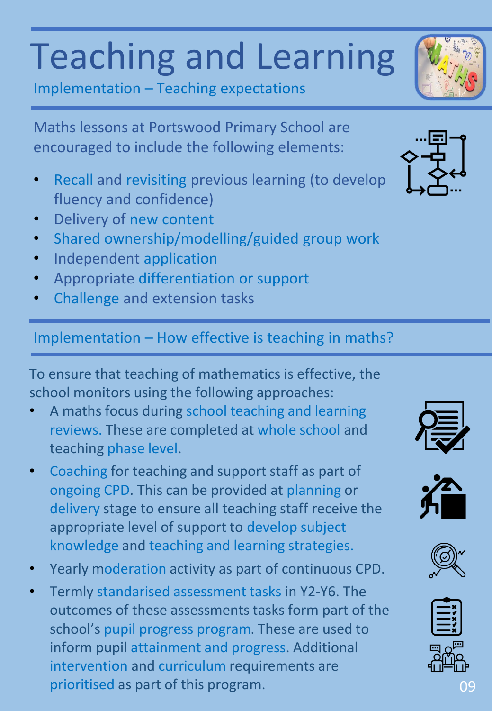Implementation – Teaching expectations

Maths lessons at Portswood Primary School are encouraged to include the following elements:

- Recall and revisiting previous learning (to develop fluency and confidence)
- Delivery of new content
- Shared ownership/modelling/guided group work
- Independent application
- Appropriate differentiation or support
- Challenge and extension tasks

#### Implementation – How effective is teaching in maths?

To ensure that teaching of mathematics is effective, the school monitors using the following approaches:

- A maths focus during school teaching and learning reviews. These are completed at whole school and teaching phase level.
- Coaching for teaching and support staff as part of ongoing CPD. This can be provided at planning or delivery stage to ensure all teaching staff receive the appropriate level of support to develop subject knowledge and teaching and learning strategies.
- Yearly moderation activity as part of continuous CPD.
- Termly standarised assessment tasks in Y2-Y6. The outcomes of these assessments tasks form part of the school's pupil progress program. These are used to inform pupil attainment and progress. Additional intervention and curriculum requirements are prioritised as part of this program.











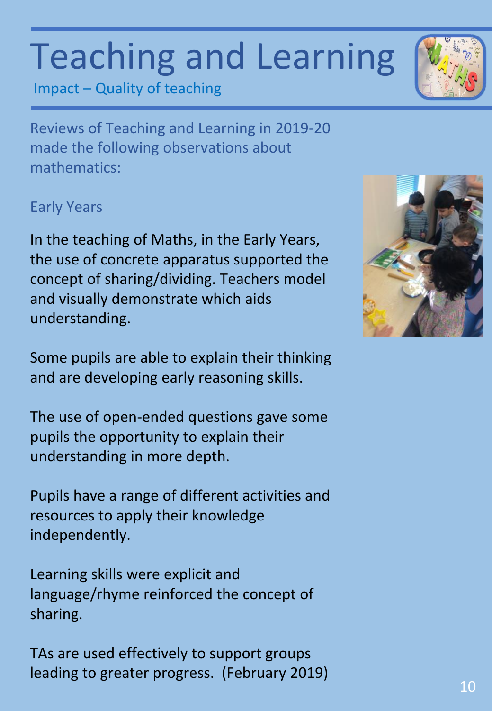Impact – Quality of teaching

Reviews of Teaching and Learning in 2019-20 made the following observations about mathematics:

#### Early Years

In the teaching of Maths, in the Early Years, the use of concrete apparatus supported the concept of sharing/dividing. Teachers model and visually demonstrate which aids understanding.

Some pupils are able to explain their thinking and are developing early reasoning skills.

The use of open-ended questions gave some pupils the opportunity to explain their understanding in more depth.

Pupils have a range of different activities and resources to apply their knowledge independently.

Learning skills were explicit and language/rhyme reinforced the concept of sharing.

TAs are used effectively to support groups leading to greater progress. (February 2019)





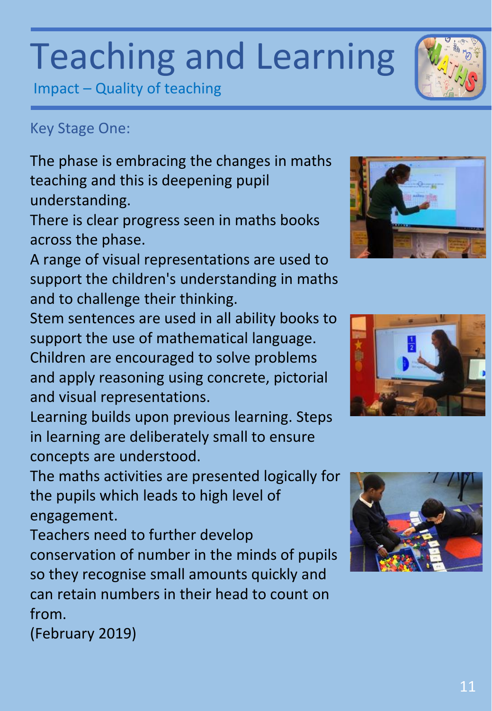Impact – Quality of teaching

#### Key Stage One:

The phase is embracing the changes in maths teaching and this is deepening pupil understanding.

There is clear progress seen in maths books across the phase.

A range of visual representations are used to support the children's understanding in maths and to challenge their thinking.

Stem sentences are used in all ability books to support the use of mathematical language. Children are encouraged to solve problems and apply reasoning using concrete, pictorial and visual representations.

Learning builds upon previous learning. Steps in learning are deliberately small to ensure concepts are understood.

The maths activities are presented logically for the pupils which leads to high level of engagement.

Teachers need to further develop conservation of number in the minds of pupils so they recognise small amounts quickly and can retain numbers in their head to count on from.

(February 2019)







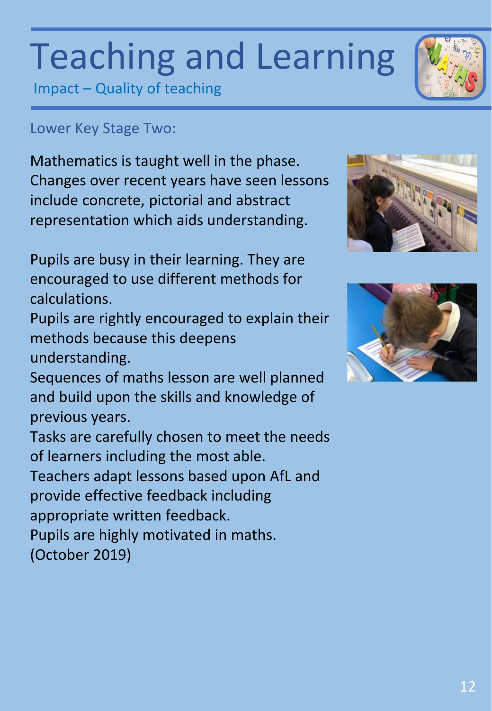Impact – Quality of teaching

#### Lower Key Stage Two:

Mathematics is taught well in the phase. Changes over recent years have seen lessons include concrete, pictorial and abstract representation which aids understanding.

Pupils are busy in their learning. They are encouraged to use different methods for calculations.

Pupils are rightly encouraged to explain their methods because this deepens understanding.

Sequences of maths lesson are well planned and build upon the skills and knowledge of previous years.

Tasks are carefully chosen to meet the needs of learners including the most able.

Teachers adapt lessons based upon AfL and provide effective feedback including

appropriate written feedback.

Pupils are highly motivated in maths.

(October 2019)





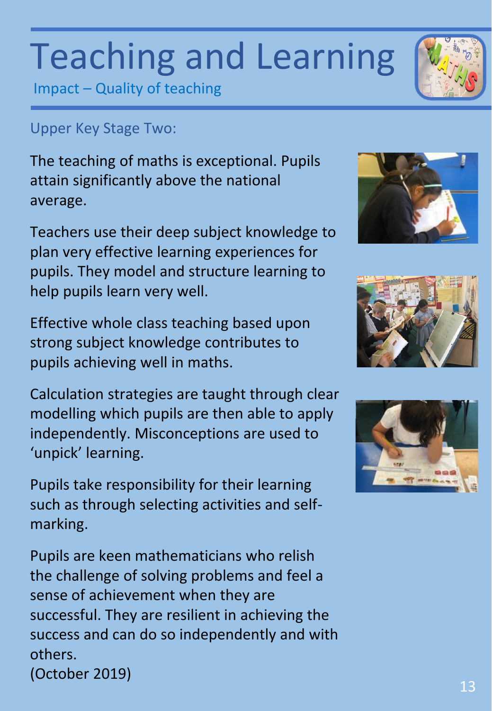Impact – Quality of teaching

### Upper Key Stage Two:

The teaching of maths is exceptional. Pupils attain significantly above the national average.

Teachers use their deep subject knowledge to plan very effective learning experiences for pupils. They model and structure learning to help pupils learn very well.

Effective whole class teaching based upon strong subject knowledge contributes to pupils achieving well in maths.

Calculation strategies are taught through clear modelling which pupils are then able to apply independently. Misconceptions are used to 'unpick' learning.

Pupils take responsibility for their learning such as through selecting activities and selfmarking.

Pupils are keen mathematicians who relish the challenge of solving problems and feel a sense of achievement when they are successful. They are resilient in achieving the success and can do so independently and with others.









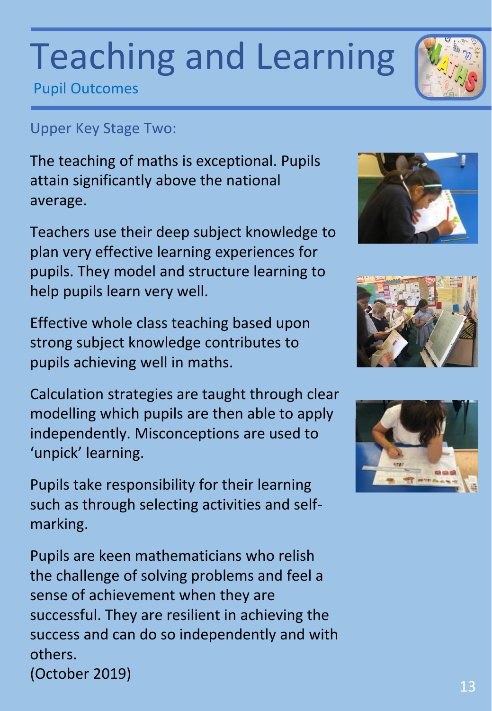#### 13

## Teaching and Learning

Pupil Outcomes

### Upper Key Stage Two:

The teaching of maths is exceptional. Pupils attain significantly above the national average.

Teachers use their deep subject knowledge to plan very effective learning experiences for pupils. They model and structure learning to help pupils learn very well.

Effective whole class teaching based upon strong subject knowledge contributes to pupils achieving well in maths.

Calculation strategies are taught through clear modelling which pupils are then able to apply independently. Misconceptions are used to 'unpick' learning.

Pupils take responsibility for their learning such as through selecting activities and selfmarking.

Pupils are keen mathematicians who relish the challenge of solving problems and feel a sense of achievement when they are successful. They are resilient in achieving the success and can do so independently and with others.









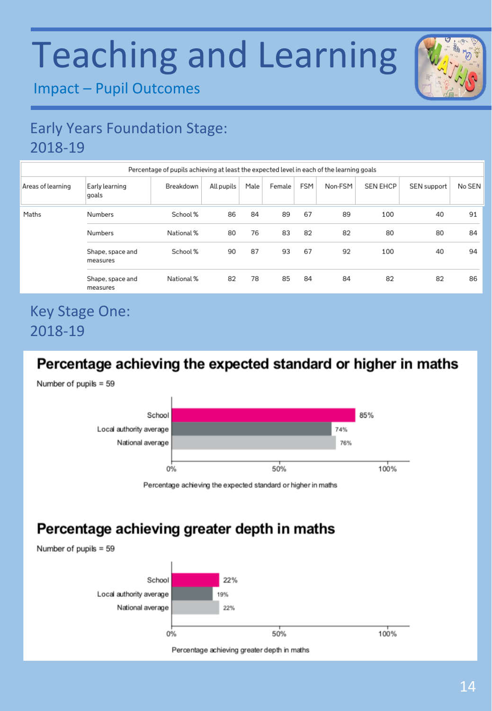

Impact – Pupil Outcomes

### Early Years Foundation Stage: 2018-19

| Percentage of pupils achieving at least the expected level in each of the learning goals |                              |            |            |      |        |     |         |                 |             |        |
|------------------------------------------------------------------------------------------|------------------------------|------------|------------|------|--------|-----|---------|-----------------|-------------|--------|
| Areas of learning                                                                        | Early learning<br>goals      | Breakdown  | All pupils | Male | Female | FSM | Non-FSM | <b>SEN EHCP</b> | SEN support | No SEN |
| Maths                                                                                    | Numbers                      | School %   | 86         | 84   | 89     | 67  | 89      | 100             | 40          | 91     |
|                                                                                          | Numbers                      | National % | 80         | 76   | 83     | 82  | 82      | 80              | 80          | 84     |
|                                                                                          | Shape, space and<br>measures | School %   | 90         | 87   | 93     | 67  | 92      | 100             | 40          | 94     |
|                                                                                          | Shape, space and<br>measures | National % | 82         | 78   | 85     | 84  | 84      | 82              | 82          | 86     |

#### Key Stage One: 2018-19

#### Percentage achieving the expected standard or higher in maths

Number of pupils  $= 59$ 



Percentage achieving the expected standard or higher in maths

#### Percentage achieving greater depth in maths

Number of pupils  $= 59$ 



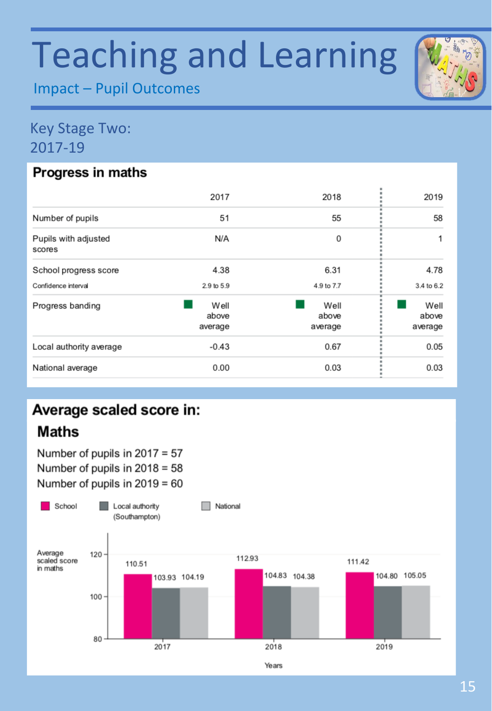Impact – Pupil Outcomes

#### Key Stage Two: 2017-19

#### Progress in maths

| 2017                     | 2018                     | 2019                     |
|--------------------------|--------------------------|--------------------------|
| 51                       | 55                       | 58                       |
| N/A                      | 0                        |                          |
| 4.38                     | 6.31                     | 4.78                     |
| 2.9 to 5.9               | 4.9 to 7.7               | 3.4 to 6.2               |
| Well<br>above<br>average | Well<br>above<br>average | Well<br>above<br>average |
| $-0.43$                  | 0.67                     | 0.05                     |
| 0.00                     | 0.03                     | 0.03                     |
|                          |                          |                          |

### Average scaled score in: **Maths**

Number of pupils in  $2017 = 57$ Number of pupils in  $2018 = 58$ Number of pupils in  $2019 = 60$